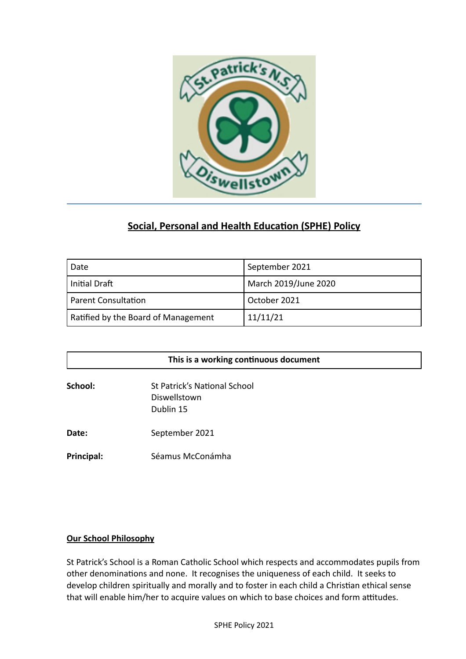

# **Social, Personal and Health Education (SPHE) Policy**

| Date                                | September 2021       |
|-------------------------------------|----------------------|
| Initial Draft                       | March 2019/June 2020 |
| Parent Consultation                 | October 2021         |
| Ratified by the Board of Management | 11/11/21             |

| This is a working continuous document |                                                                  |
|---------------------------------------|------------------------------------------------------------------|
| School:                               | <b>St Patrick's National School</b><br>Diswellstown<br>Dublin 15 |
| Date:                                 | September 2021                                                   |
| Principal:                            | Séamus McConámha                                                 |

#### **Our School Philosophy**

St Patrick's School is a Roman Catholic School which respects and accommodates pupils from other denominations and none. It recognises the uniqueness of each child. It seeks to develop children spiritually and morally and to foster in each child a Christian ethical sense that will enable him/her to acquire values on which to base choices and form attitudes.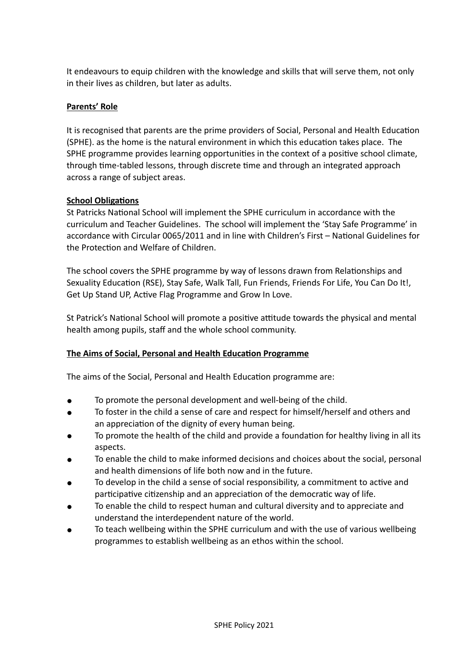It endeavours to equip children with the knowledge and skills that will serve them, not only in their lives as children, but later as adults.

# **Parents' Role**

It is recognised that parents are the prime providers of Social, Personal and Health Education (SPHE). as the home is the natural environment in which this education takes place. The SPHE programme provides learning opportunities in the context of a positive school climate, through time-tabled lessons, through discrete time and through an integrated approach across a range of subject areas.

#### **School Obligations**

St Patricks National School will implement the SPHE curriculum in accordance with the curriculum and Teacher Guidelines. The school will implement the 'Stay Safe Programme' in accordance with Circular 0065/2011 and in line with Children's First – National Guidelines for the Protection and Welfare of Children.

The school covers the SPHE programme by way of lessons drawn from Relationships and Sexuality Education (RSE), Stay Safe, Walk Tall, Fun Friends, Friends For Life, You Can Do It!, Get Up Stand UP, Active Flag Programme and Grow In Love.

St Patrick's National School will promote a positive attitude towards the physical and mental health among pupils, staff and the whole school community.

#### **The Aims of Social, Personal and Health Education Programme**

The aims of the Social, Personal and Health Education programme are:

- To promote the personal development and well-being of the child.
- To foster in the child a sense of care and respect for himself/herself and others and an appreciation of the dignity of every human being.
- To promote the health of the child and provide a foundation for healthy living in all its aspects.
- To enable the child to make informed decisions and choices about the social, personal and health dimensions of life both now and in the future.
- To develop in the child a sense of social responsibility, a commitment to active and participative citizenship and an appreciation of the democratic way of life.
- To enable the child to respect human and cultural diversity and to appreciate and understand the interdependent nature of the world.
- To teach wellbeing within the SPHE curriculum and with the use of various wellbeing programmes to establish wellbeing as an ethos within the school.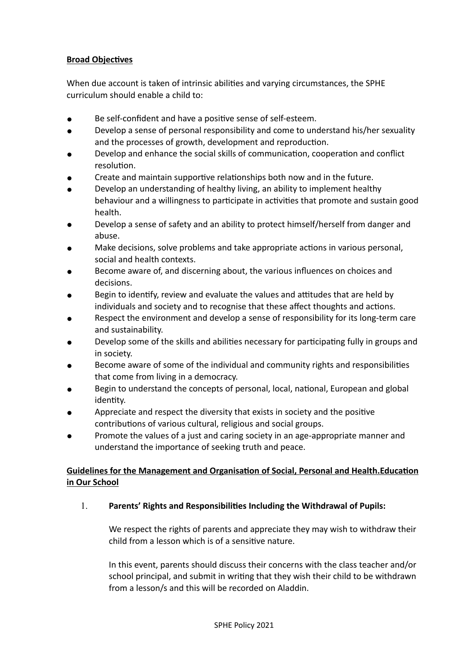# **Broad Objectives**

When due account is taken of intrinsic abilities and varying circumstances, the SPHE curriculum should enable a child to:

- Be self-confident and have a positive sense of self-esteem.
- Develop a sense of personal responsibility and come to understand his/her sexuality and the processes of growth, development and reproduction.
- Develop and enhance the social skills of communication, cooperation and conflict resolution.
- Create and maintain supportive relationships both now and in the future.
- Develop an understanding of healthy living, an ability to implement healthy behaviour and a willingness to participate in activities that promote and sustain good health.
- Develop a sense of safety and an ability to protect himself/herself from danger and abuse.
- Make decisions, solve problems and take appropriate actions in various personal, social and health contexts.
- Become aware of, and discerning about, the various influences on choices and decisions.
- Begin to identify, review and evaluate the values and attitudes that are held by individuals and society and to recognise that these affect thoughts and actions.
- Respect the environment and develop a sense of responsibility for its long-term care and sustainability.
- Develop some of the skills and abilities necessary for participating fully in groups and in society.
- Become aware of some of the individual and community rights and responsibilities that come from living in a democracy.
- Begin to understand the concepts of personal, local, national, European and global identity.
- Appreciate and respect the diversity that exists in society and the positive contributions of various cultural, religious and social groups.
- Promote the values of a just and caring society in an age-appropriate manner and understand the importance of seeking truth and peace.

# **Guidelines for the Management and Organisation of Social, Personal and Health.Education in Our School**

#### 1. **Parents' Rights and Responsibilities Including the Withdrawal of Pupils:**

We respect the rights of parents and appreciate they may wish to withdraw their child from a lesson which is of a sensitive nature.

In this event, parents should discuss their concerns with the class teacher and/or school principal, and submit in writing that they wish their child to be withdrawn from a lesson/s and this will be recorded on Aladdin.